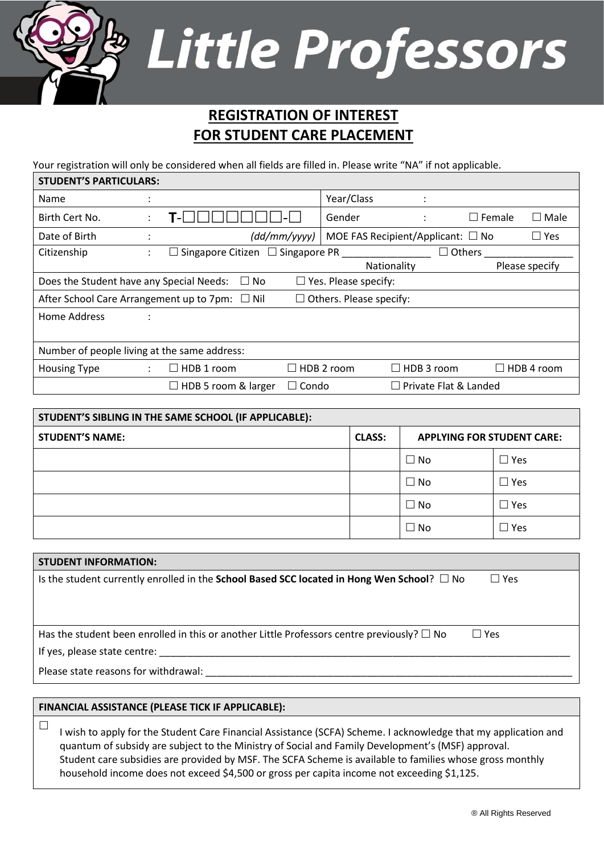## Little Professors

## **REGISTRATION OF INTEREST FOR STUDENT CARE PLACEMENT**

Your registration will only be considered when all fields are filled in. Please write "NA" if not applicable.

| <b>STUDENT'S PARTICULARS:</b>                |                                                                                      |                                                        |                     |                                |                                           |                    |                |  |
|----------------------------------------------|--------------------------------------------------------------------------------------|--------------------------------------------------------|---------------------|--------------------------------|-------------------------------------------|--------------------|----------------|--|
| Name                                         |                                                                                      |                                                        |                     | Year/Class                     | $\cdot$                                   |                    |                |  |
| Birth Cert No.                               |                                                                                      | <u>ı – </u>                                            |                     | Gender                         | $\ddot{\cdot}$                            | $\Box$ Female      | $\Box$ Male    |  |
| Date of Birth                                |                                                                                      |                                                        | $\frac{dd}{mm/yyy}$ |                                | MOE FAS Recipient/Applicant: $\square$ No |                    | $\square$ Yes  |  |
| Citizenship                                  |                                                                                      | Singapore Citizen $\Box$ Singapore PR                  |                     |                                |                                           | $\sqsupset$ Others |                |  |
|                                              |                                                                                      |                                                        |                     |                                | Nationality                               |                    | Please specify |  |
|                                              | Does the Student have any Special Needs:<br>$\Box$ Yes. Please specify:<br>$\Box$ No |                                                        |                     |                                |                                           |                    |                |  |
|                                              |                                                                                      | After School Care Arrangement up to $7$ pm: $\Box$ Nil |                     | $\Box$ Others. Please specify: |                                           |                    |                |  |
| Home Address                                 |                                                                                      |                                                        |                     |                                |                                           |                    |                |  |
|                                              |                                                                                      |                                                        |                     |                                |                                           |                    |                |  |
| Number of people living at the same address: |                                                                                      |                                                        |                     |                                |                                           |                    |                |  |
| <b>Housing Type</b>                          | $\ddot{\phantom{0}}$                                                                 | $\Box$ HDB 1 room                                      |                     | $\Box$ HDB 2 room              | HDB 3 room<br>$\vert \ \ \vert$           |                    | HDB 4 room     |  |
|                                              |                                                                                      | $\Box$ HDB 5 room & larger                             | Condo<br>$\perp$    |                                | Private Flat & Landed<br>$\mathsf{L}$     |                    |                |  |

| STUDENT'S SIBLING IN THE SAME SCHOOL (IF APPLICABLE): |               |                                   |                 |  |  |
|-------------------------------------------------------|---------------|-----------------------------------|-----------------|--|--|
| <b>STUDENT'S NAME:</b>                                | <b>CLASS:</b> | <b>APPLYING FOR STUDENT CARE:</b> |                 |  |  |
|                                                       |               | $\Box$ No                         | $\Box$ Yes      |  |  |
|                                                       |               | $\square$ No                      | $\Box$ Yes      |  |  |
|                                                       |               | $\Box$ No                         | $\Box$ Yes      |  |  |
|                                                       |               | $\Box$ No                         | $\sqsupset$ Yes |  |  |

| <b>STUDENT INFORMATION:</b>                                                                                      |
|------------------------------------------------------------------------------------------------------------------|
| Is the student currently enrolled in the School Based SCC located in Hong Wen School? $\Box$ No<br>$\Box$ Yes    |
|                                                                                                                  |
|                                                                                                                  |
| $\Box$ Yes<br>Has the student been enrolled in this or another Little Professors centre previously? $\square$ No |
| If yes, please state centre:                                                                                     |
| Please state reasons for withdrawal:                                                                             |
|                                                                                                                  |
| FINANCIAL ASSISTANCE (PLEASE TICK IF APPLICABLE):                                                                |

 $\Box$  I wish to apply for the Student Care Financial Assistance (SCFA) Scheme. I acknowledge that my application and quantum of subsidy are subject to the Ministry of Social and Family Development's (MSF) approval. Student care subsidies are provided by MSF. The SCFA Scheme is available to families whose gross monthly household income does not exceed \$4,500 or gross per capita income not exceeding \$1,125.